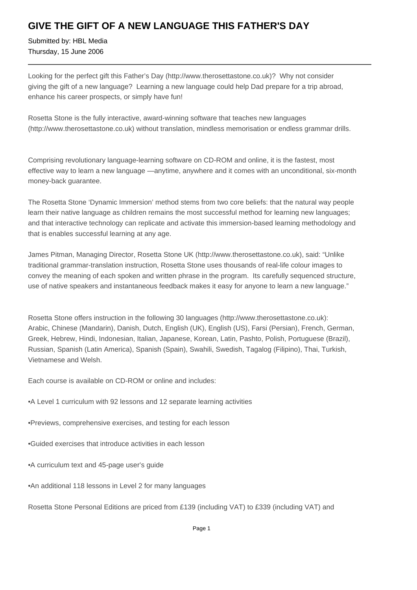## **GIVE THE GIFT OF A NEW LANGUAGE THIS FATHER'S DAY**

Submitted by: HBL Media Thursday, 15 June 2006

Looking for the perfect gift this Father's Day (http://www.therosettastone.co.uk)? Why not consider giving the gift of a new language? Learning a new language could help Dad prepare for a trip abroad, enhance his career prospects, or simply have fun!

Rosetta Stone is the fully interactive, award-winning software that teaches new languages (http://www.therosettastone.co.uk) without translation, mindless memorisation or endless grammar drills.

Comprising revolutionary language-learning software on CD-ROM and online, it is the fastest, most effective way to learn a new language —anytime, anywhere and it comes with an unconditional, six-month money-back guarantee.

The Rosetta Stone 'Dynamic Immersion' method stems from two core beliefs: that the natural way people learn their native language as children remains the most successful method for learning new languages; and that interactive technology can replicate and activate this immersion-based learning methodology and that is enables successful learning at any age.

James Pitman, Managing Director, Rosetta Stone UK (http://www.therosettastone.co.uk), said: "Unlike traditional grammar-translation instruction, Rosetta Stone uses thousands of real-life colour images to convey the meaning of each spoken and written phrase in the program. Its carefully sequenced structure, use of native speakers and instantaneous feedback makes it easy for anyone to learn a new language."

Rosetta Stone offers instruction in the following 30 languages (http://www.therosettastone.co.uk): Arabic, Chinese (Mandarin), Danish, Dutch, English (UK), English (US), Farsi (Persian), French, German, Greek, Hebrew, Hindi, Indonesian, Italian, Japanese, Korean, Latin, Pashto, Polish, Portuguese (Brazil), Russian, Spanish (Latin America), Spanish (Spain), Swahili, Swedish, Tagalog (Filipino), Thai, Turkish, Vietnamese and Welsh.

Each course is available on CD-ROM or online and includes:

- A Level 1 curriculum with 92 lessons and 12 separate learning activities
- Previews, comprehensive exercises, and testing for each lesson
- Guided exercises that introduce activities in each lesson
- A curriculum text and 45-page user's guide
- An additional 118 lessons in Level 2 for many languages

Rosetta Stone Personal Editions are priced from £139 (including VAT) to £339 (including VAT) and